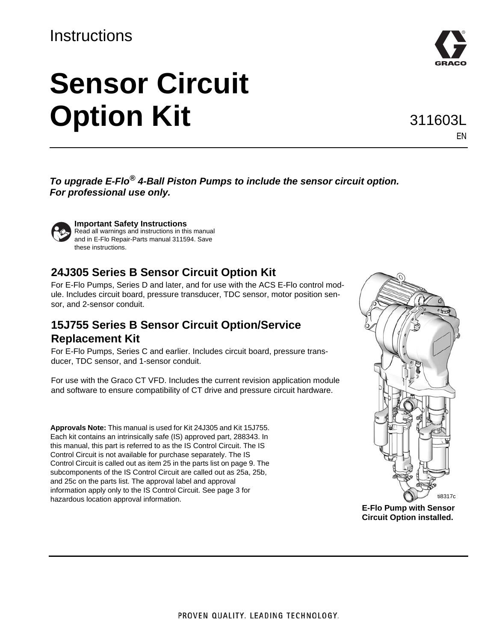# **Instructions**

# **Sensor Circuit Option Kit**

311603L

*To upgrade E-Flo® 4-Ball Piston Pumps to include the sensor circuit option. For professional use only.*



**Important Safety Instructions**

Read all warnings and instructions in this manual and in E-Flo Repair-Parts manual 311594. Save these instructions.

### **24J305 Series B Sensor Circuit Option Kit**

For E-Flo Pumps, Series D and later, and for use with the ACS E-Flo control module. Includes circuit board, pressure transducer, TDC sensor, motor position sensor, and 2-sensor conduit.

### **15J755 Series B Sensor Circuit Option/Service Replacement Kit**

For E-Flo Pumps, Series C and earlier. Includes circuit board, pressure transducer, TDC sensor, and 1-sensor conduit.

For use with the Graco CT VFD. Includes the current revision application module and software to ensure compatibility of CT drive and pressure circuit hardware.

**Approvals Note:** This manual is used for Kit 24J305 and Kit 15J755. Each kit contains an intrinsically safe (IS) approved part, 288343. In this manual, this part is referred to as the IS Control Circuit. The IS Control Circuit is not available for purchase separately. The IS Control Circuit is called out as item 25 in the parts list on page [9.](#page-8-0) The subcomponents of the IS Control Circuit are called out as 25a, 25b, and 25c on the parts list. The approval label and approval information apply only to the IS Control Circuit. See page [3](#page-2-0) for hazardous location approval information.



**E-Flo Pump with Sensor Circuit Option installed.**

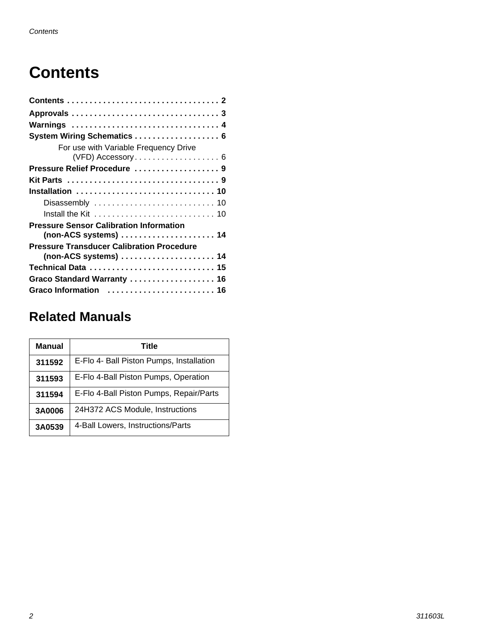# <span id="page-1-0"></span>**Contents**

| Warnings  4                                      |
|--------------------------------------------------|
| System Wiring Schematics  6                      |
| For use with Variable Frequency Drive            |
|                                                  |
| Pressure Relief Procedure  9                     |
|                                                  |
| Installation  10                                 |
| Disassembly  10                                  |
|                                                  |
| <b>Pressure Sensor Calibration Information</b>   |
| (non-ACS systems)  14                            |
| <b>Pressure Transducer Calibration Procedure</b> |
|                                                  |
| Technical Data  15                               |
| Graco Standard Warranty  16                      |
| Graco Information  16                            |

### **Related Manuals**

| Manual | Title                                    |
|--------|------------------------------------------|
| 311592 | E-Flo 4- Ball Piston Pumps, Installation |
| 311593 | E-Flo 4-Ball Piston Pumps, Operation     |
| 311594 | E-Flo 4-Ball Piston Pumps, Repair/Parts  |
| 3A0006 | 24H372 ACS Module, Instructions          |
| 3A0539 | 4-Ball Lowers, Instructions/Parts        |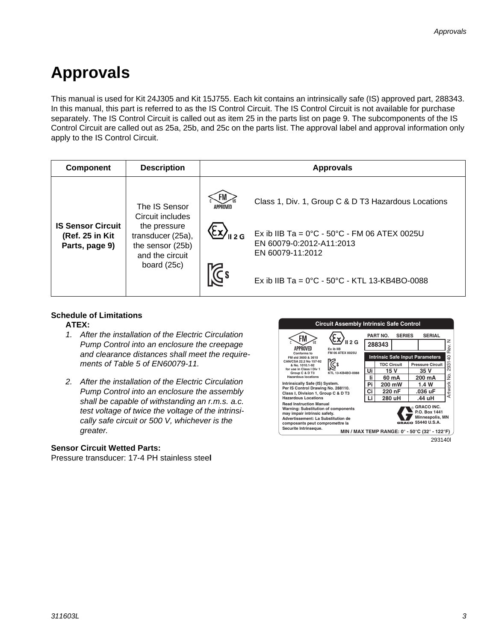# <span id="page-2-0"></span>**Approvals**

This manual is used for Kit 24J305 and Kit 15J755. Each kit contains an intrinsically safe (IS) approved part, 288343. In this manual, this part is referred to as the IS Control Circuit. The IS Control Circuit is not available for purchase separately. The IS Control Circuit is called out as item 25 in the parts list on page [9](#page-8-0). The subcomponents of the IS Control Circuit are called out as 25a, 25b, and 25c on the parts list. The approval label and approval information only apply to the IS Control Circuit.

| <b>Component</b>                                               | <b>Description</b>                                                                        | <b>Approvals</b>                                                                        |                                                                                                                  |
|----------------------------------------------------------------|-------------------------------------------------------------------------------------------|-----------------------------------------------------------------------------------------|------------------------------------------------------------------------------------------------------------------|
|                                                                | The IS Sensor<br>Circuit includes                                                         | FM<br>APPROVED                                                                          | Class 1, Div. 1, Group C & D T3 Hazardous Locations                                                              |
| <b>IS Sensor Circuit</b><br>(Ref. 25 in Kit)<br>Parts, page 9) | the pressure<br>transducer (25a),<br>the sensor (25b)<br>and the circuit<br>board $(25c)$ | $\langle \dot{\mathbf{c}} \mathbf{x} \rangle_{\mathsf{II} \, \mathsf{2} \, \mathsf{G}}$ | Ex ib IIB Ta = $0^{\circ}$ C - $50^{\circ}$ C - FM 06 ATEX 0025U<br>EN 60079-0:2012-A11:2013<br>EN 60079-11:2012 |
|                                                                |                                                                                           |                                                                                         | $\widetilde{\mathbb{S}}$                                                                                         |

### **Schedule of Limitations**

#### **ATEX:**

- *1. After the installation of the Electric Circulation Pump Control into an enclosure the creepage and clearance distances shall meet the requirements of Table 5 of EN60079-11.*
- *2. After the installation of the Electric Circulation Pump Control into an enclosure the assembly shall be capable of withstanding an r.m.s. a.c. test voltage of twice the voltage of the intrinsically safe circuit or 500 V, whichever is the greater.*

### **Sensor Circuit Wetted Parts:**

Pressure transducer: 17-4 PH stainless stee**l**

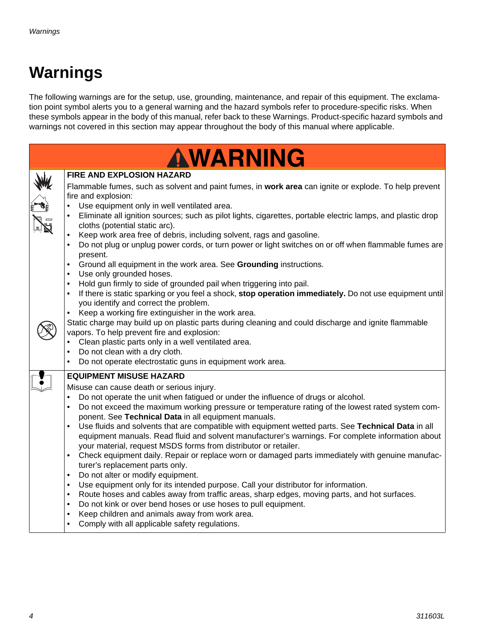# <span id="page-3-0"></span>**Warnings**

The following warnings are for the setup, use, grounding, maintenance, and repair of this equipment. The exclamation point symbol alerts you to a general warning and the hazard symbols refer to procedure-specific risks. When these symbols appear in the body of this manual, refer back to these Warnings. Product-specific hazard symbols and warnings not covered in this section may appear throughout the body of this manual where applicable.

| AWARNING                                                                                                                                                                                                                                                                                                                                                                                                                                                                                                                                                                                                                                                                                                                                                                                                                                                                                                                                                                                                                                                                                                                                                                                                                                                                                                                                |
|-----------------------------------------------------------------------------------------------------------------------------------------------------------------------------------------------------------------------------------------------------------------------------------------------------------------------------------------------------------------------------------------------------------------------------------------------------------------------------------------------------------------------------------------------------------------------------------------------------------------------------------------------------------------------------------------------------------------------------------------------------------------------------------------------------------------------------------------------------------------------------------------------------------------------------------------------------------------------------------------------------------------------------------------------------------------------------------------------------------------------------------------------------------------------------------------------------------------------------------------------------------------------------------------------------------------------------------------|
| FIRE AND EXPLOSION HAZARD<br>Flammable fumes, such as solvent and paint fumes, in work area can ignite or explode. To help prevent<br>fire and explosion:<br>Use equipment only in well ventilated area.<br>Eliminate all ignition sources; such as pilot lights, cigarettes, portable electric lamps, and plastic drop<br>cloths (potential static arc).<br>Keep work area free of debris, including solvent, rags and gasoline.<br>Do not plug or unplug power cords, or turn power or light switches on or off when flammable fumes are<br>present.<br>Ground all equipment in the work area. See Grounding instructions.<br>$\bullet$<br>Use only grounded hoses.<br>$\bullet$<br>Hold gun firmly to side of grounded pail when triggering into pail.<br>$\bullet$<br>If there is static sparking or you feel a shock, stop operation immediately. Do not use equipment until<br>$\bullet$<br>you identify and correct the problem.<br>Keep a working fire extinguisher in the work area.<br>$\bullet$<br>Static charge may build up on plastic parts during cleaning and could discharge and ignite flammable<br>vapors. To help prevent fire and explosion:<br>Clean plastic parts only in a well ventilated area.<br>Do not clean with a dry cloth.<br>$\bullet$                                                                 |
| Do not operate electrostatic guns in equipment work area.<br>٠<br><b>EQUIPMENT MISUSE HAZARD</b><br>Misuse can cause death or serious injury.<br>Do not operate the unit when fatigued or under the influence of drugs or alcohol.<br>$\bullet$<br>Do not exceed the maximum working pressure or temperature rating of the lowest rated system com-<br>٠<br>ponent. See Technical Data in all equipment manuals.<br>Use fluids and solvents that are compatible with equipment wetted parts. See Technical Data in all<br>$\bullet$<br>equipment manuals. Read fluid and solvent manufacturer's warnings. For complete information about<br>your material, request MSDS forms from distributor or retailer.<br>Check equipment daily. Repair or replace worn or damaged parts immediately with genuine manufac-<br>$\bullet$<br>turer's replacement parts only.<br>Do not alter or modify equipment.<br>$\bullet$<br>Use equipment only for its intended purpose. Call your distributor for information.<br>$\bullet$<br>Route hoses and cables away from traffic areas, sharp edges, moving parts, and hot surfaces.<br>$\bullet$<br>Do not kink or over bend hoses or use hoses to pull equipment.<br>$\bullet$<br>Keep children and animals away from work area.<br>٠<br>Comply with all applicable safety regulations.<br>$\bullet$ |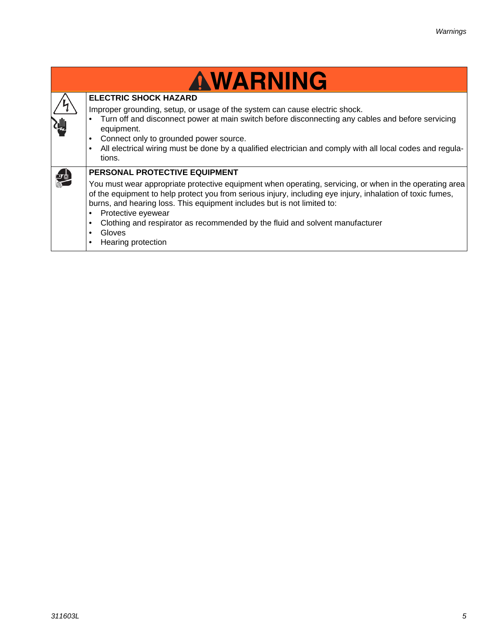| <b>AWARNING</b>                                                                                                                                                                                                                                                                                                                                                                                                                                                                |
|--------------------------------------------------------------------------------------------------------------------------------------------------------------------------------------------------------------------------------------------------------------------------------------------------------------------------------------------------------------------------------------------------------------------------------------------------------------------------------|
| <b>ELECTRIC SHOCK HAZARD</b><br>Improper grounding, setup, or usage of the system can cause electric shock.<br>Turn off and disconnect power at main switch before disconnecting any cables and before servicing<br>equipment.<br>Connect only to grounded power source.<br>All electrical wiring must be done by a qualified electrician and comply with all local codes and regula-<br>tions.                                                                                |
| <b>PERSONAL PROTECTIVE EQUIPMENT</b><br>You must wear appropriate protective equipment when operating, servicing, or when in the operating area<br>of the equipment to help protect you from serious injury, including eye injury, inhalation of toxic fumes,<br>burns, and hearing loss. This equipment includes but is not limited to:<br>Protective eyewear<br>Clothing and respirator as recommended by the fluid and solvent manufacturer<br>Gloves<br>Hearing protection |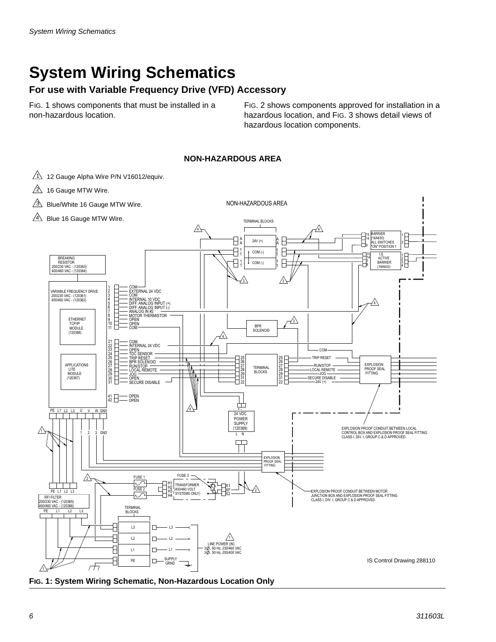# <span id="page-5-0"></span>**System Wiring Schematics**

### <span id="page-5-1"></span>**For use with Variable Frequency Drive (VFD) Accessory**

FIG. 1 shows components that must be installed in a non-hazardous location.

 $1\overline{1}$  12 Gauge Alpha Wire P/N V16012/equiv.

FIG. 2 shows components approved for installation in a hazardous location, and FIG. 3 shows detail views of hazardous location components.

### **NON-HAZARDOUS AREA**



**FIG. 1: System Wiring Schematic, Non-Hazardous Location Only**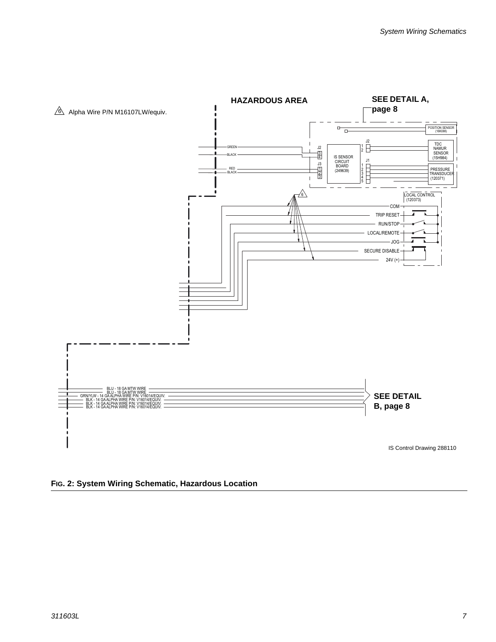

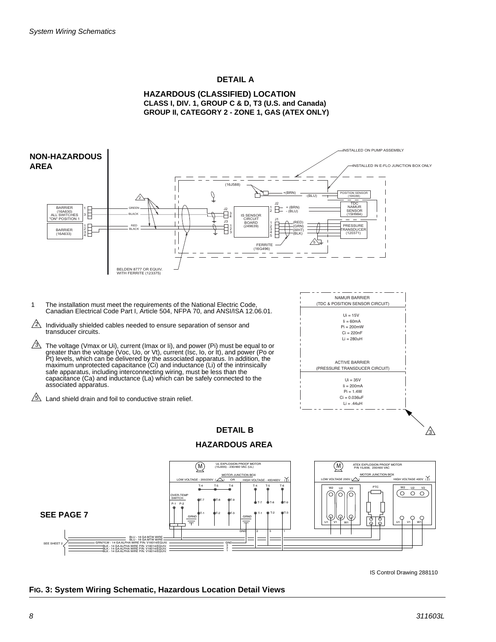### **DETAIL A**





- 1 The installation must meet the requirements of the National Electric Code, Canadian Electrical Code Part I, Article 504, NFPA 70, and ANSI/ISA 12.06.01.
- Individually shielded cables needed to ensure separation of sensor and transducer circuits.  $\sqrt{2}$
- The voltage (Vmax or Ui), current (Imax or Ii), and power (Pi) must be equal to or<br>greater than the voltage (Voc, Uo, or Vt), current (Isc, Io, or It), and power (Po or<br>Pt) levels, which can be delivered by the associated maximum unprotected capacitance (Ci) and inductance (Li) of the intrinsically safe apparatus, including interconnecting wiring, must be less than the capacitance (Ca) and inductance (La) which can be safely connected to the associated apparatus. 3
- $5\sqrt{2}$  Land shield drain and foil to conductive strain relief.







IS Control Drawing 288110

#### **FIG. 3: System Wiring Schematic, Hazardous Location Detail Views**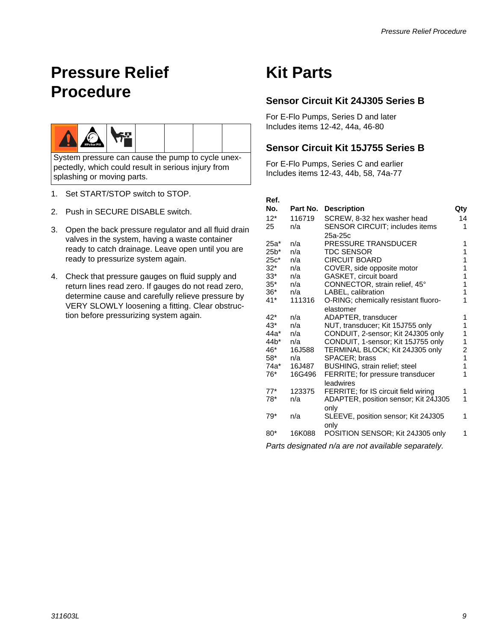# <span id="page-8-1"></span>**Pressure Relief Procedure**



System pressure can cause the pump to cycle unexpectedly, which could result in serious injury from splashing or moving parts.

- 1. Set START/STOP switch to STOP.
- 2. Push in SECURE DISABLE switch.
- 3. Open the back pressure regulator and all fluid drain valves in the system, having a waste container ready to catch drainage. Leave open until you are ready to pressurize system again.
- 4. Check that pressure gauges on fluid supply and return lines read zero. If gauges do not read zero, determine cause and carefully relieve pressure by VERY SLOWLY loosening a fitting. Clear obstruction before pressurizing system again.

# <span id="page-8-0"></span>**Kit Parts**

### **Sensor Circuit Kit 24J305 Series B**

For E-Flo Pumps, Series D and later Includes items 12-42, 44a, 46-80

### **Sensor Circuit Kit 15J755 Series B**

For E-Flo Pumps, Series C and earlier Includes items 12-43, 44b, 58, 74a-77

|  | __ |  |
|--|----|--|
|  |    |  |

| No.    | Part No. | <b>Description</b>                                 | Qty |
|--------|----------|----------------------------------------------------|-----|
| $12*$  | 116719   | SCREW, 8-32 hex washer head                        | 14  |
| 25     | n/a      | SENSOR CIRCUIT; includes items                     | 1   |
|        |          | 25a-25c                                            |     |
| 25a*   | n/a      | <b>PRESSURE TRANSDUCER</b>                         | 1   |
| $25b*$ | n/a      | TDC SENSOR                                         | 1   |
| $25c*$ | n/a      | <b>CIRCUIT BOARD</b>                               | 1   |
| $32*$  | n/a      | COVER, side opposite motor                         | 1   |
| $33*$  | n/a      | GASKET, circuit board                              | 1   |
| $35*$  | n/a      | CONNECTOR, strain relief, 45°                      | 1   |
| $36*$  | n/a      | LABEL, calibration                                 | 1   |
| $41*$  | 111316   | O-RING; chemically resistant fluoro-               | 1   |
|        |          | elastomer                                          |     |
| 42*    | n/a      | ADAPTER, transducer                                | 1   |
| $43*$  | n/a      | NUT, transducer; Kit 15J755 only                   | 1   |
| 44a*   | n/a      | CONDUIT, 2-sensor; Kit 24J305 only                 | 1   |
| $44b*$ | n/a      | CONDUIT, 1-sensor; Kit 15J755 only                 | 1   |
| 46*    | 16J588   | TERMINAL BLOCK; Kit 24J305 only                    | 2   |
| 58*    | n/a      | <b>SPACER: brass</b>                               | 1   |
| 74a*   | 16J487   | BUSHING, strain relief; steel                      | 1   |
| $76*$  | 16G496   | FERRITE; for pressure transducer                   | 1   |
|        |          | leadwires                                          |     |
| $77*$  | 123375   | FERRITE; for IS circuit field wiring               | 1   |
| 78*    | n/a      | ADAPTER, position sensor; Kit 24J305               | 1   |
|        |          | only                                               |     |
| $79*$  | n/a      | SLEEVE, position sensor; Kit 24J305                | 1   |
|        |          | only                                               |     |
| $80*$  | 16K088   | POSITION SENSOR; Kit 24J305 only                   | 1   |
|        |          |                                                    |     |
|        |          | Parts designated n/a are not available separately. |     |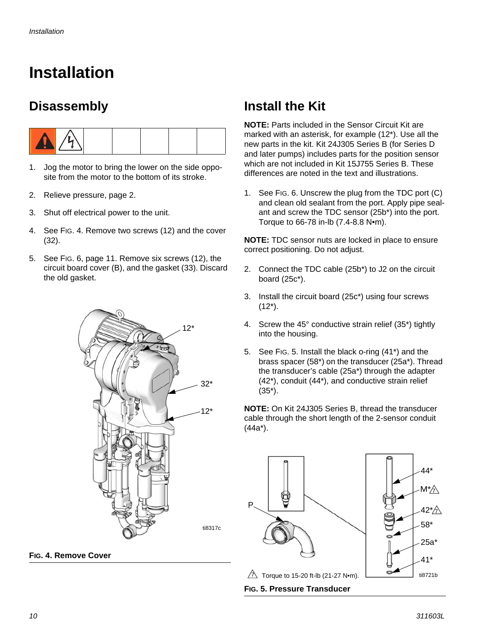# <span id="page-9-0"></span>**Installation**

### <span id="page-9-1"></span>**Disassembly**



- 1. Jog the motor to bring the lower on the side opposite from the motor to the bottom of its stroke.
- 2. Relieve pressure, page [2](#page-1-0).
- 3. Shut off electrical power to the unit.
- 4. See FIG. 4. Remove two screws (12) and the cover (32).
- 5. See FIG. 6, page 11. Remove six screws (12), the circuit board cover (B), and the gasket (33). Discard the old gasket.



**FIG. 4. Remove Cover**

### <span id="page-9-2"></span>**Install the Kit**

**NOTE:** Parts included in the Sensor Circuit Kit are marked with an asterisk, for example (12\*). Use all the new parts in the kit. Kit 24J305 Series B (for Series D and later pumps) includes parts for the position sensor which are not included in Kit 15J755 Series B. These differences are noted in the text and illustrations.

1. See FIG. 6. Unscrew the plug from the TDC port (C) and clean old sealant from the port. Apply pipe sealant and screw the TDC sensor (25b\*) into the port. Torque to 66-78 in-lb (7.4-8.8 N•m).

**NOTE:** TDC sensor nuts are locked in place to ensure correct positioning. Do not adjust.

- 2. Connect the TDC cable (25b\*) to J2 on the circuit board (25c\*).
- 3. Install the circuit board (25c\*) using four screws  $(12^*)$ .
- 4. Screw the 45° conductive strain relief (35\*) tightly into the housing.
- 5. See FIG. 5. Install the black o-ring (41\*) and the brass spacer (58\*) on the transducer (25a\*). Thread the transducer's cable (25a\*) through the adapter (42\*), conduit (44\*), and conductive strain relief (35\*).

**NOTE:** On Kit 24J305 Series B, thread the transducer cable through the short length of the 2-sensor conduit (44a\*).



**FIG. 5. Pressure Transducer**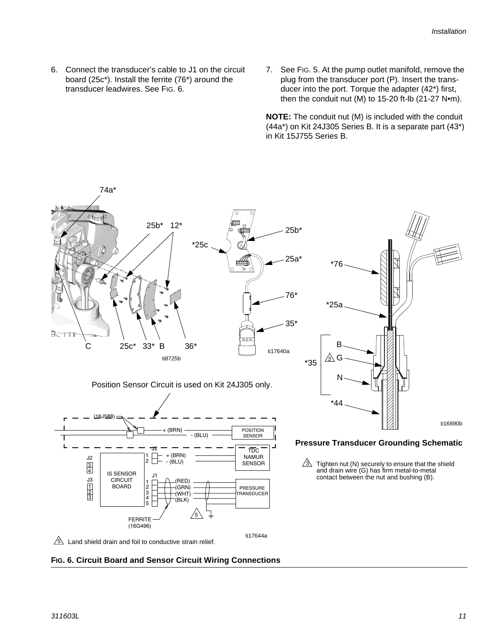- 6. Connect the transducer's cable to J1 on the circuit board (25c\*). Install the ferrite (76\*) around the transducer leadwires. See FIG. 6.
- 7. See FIG. 5. At the pump outlet manifold, remove the plug from the transducer port (P). Insert the transducer into the port. Torque the adapter (42\*) first, then the conduit nut (M) to 15-20 ft-lb (21-27  $N$ •m).

**NOTE:** The conduit nut (M) is included with the conduit (44a\*) on Kit 24J305 Series B. It is a separate part (43\*) in Kit 15J755 Series B.



**FIG. 6. Circuit Board and Sensor Circuit Wiring Connections**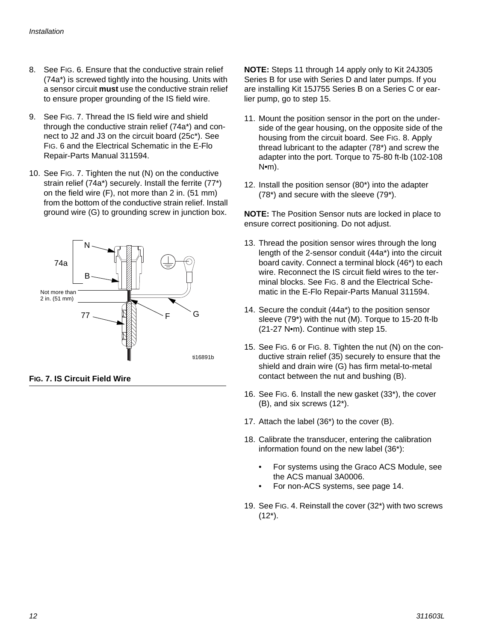- 8. See FIG. 6. Ensure that the conductive strain relief (74a\*) is screwed tightly into the housing. Units with a sensor circuit **must** use the conductive strain relief to ensure proper grounding of the IS field wire.
- 9. See FIG. 7. Thread the IS field wire and shield through the conductive strain relief (74a\*) and connect to J2 and J3 on the circuit board (25c\*). See FIG. 6 and the Electrical Schematic in the E-Flo Repair-Parts Manual 311594.
- 10. See FIG. 7. Tighten the nut (N) on the conductive strain relief (74a\*) securely. Install the ferrite (77\*) on the field wire (F), not more than 2 in. (51 mm) from the bottom of the conductive strain relief. Install ground wire (G) to grounding screw in junction box.



**FIG. 7. IS Circuit Field Wire**

**NOTE:** Steps [11](#page-11-0) through [14](#page-11-1) apply only to Kit 24J305 Series B for use with Series D and later pumps. If you are installing Kit 15J755 Series B on a Series C or earlier pump, go to step [15.](#page-11-2)

- <span id="page-11-0"></span>11. Mount the position sensor in the port on the underside of the gear housing, on the opposite side of the housing from the circuit board. See FIG. 8. Apply thread lubricant to the adapter (78\*) and screw the adapter into the port. Torque to 75-80 ft-lb (102-108 N•m).
- 12. Install the position sensor (80\*) into the adapter (78\*) and secure with the sleeve (79\*).

**NOTE:** The Position Sensor nuts are locked in place to ensure correct positioning. Do not adjust.

- 13. Thread the position sensor wires through the long length of the 2-sensor conduit (44a\*) into the circuit board cavity. Connect a terminal block (46\*) to each wire. Reconnect the IS circuit field wires to the terminal blocks. See FIG. 8 and the Electrical Schematic in the E-Flo Repair-Parts Manual 311594.
- <span id="page-11-1"></span>14. Secure the conduit (44a\*) to the position sensor sleeve (79\*) with the nut (M). Torque to 15-20 ft-lb (21-27 N•m). Continue with step [15](#page-11-2).
- <span id="page-11-2"></span>15. See FIG. 6 or FIG. 8. Tighten the nut (N) on the conductive strain relief (35) securely to ensure that the shield and drain wire (G) has firm metal-to-metal contact between the nut and bushing (B).
- 16. See FIG. 6. Install the new gasket (33\*), the cover (B), and six screws (12\*).
- 17. Attach the label (36\*) to the cover (B).
- 18. Calibrate the transducer, entering the calibration information found on the new label (36\*):
	- For systems using the Graco ACS Module, see the ACS manual 3A0006.
	- For non-ACS systems, see page [14.](#page-13-0)
- 19. See FIG. 4. Reinstall the cover (32\*) with two screws  $(12^*)$ .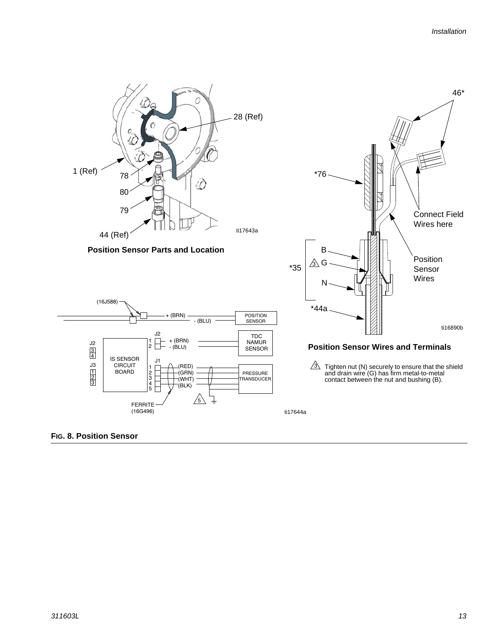#### *Installation*



### **FIG. 8. Position Sensor**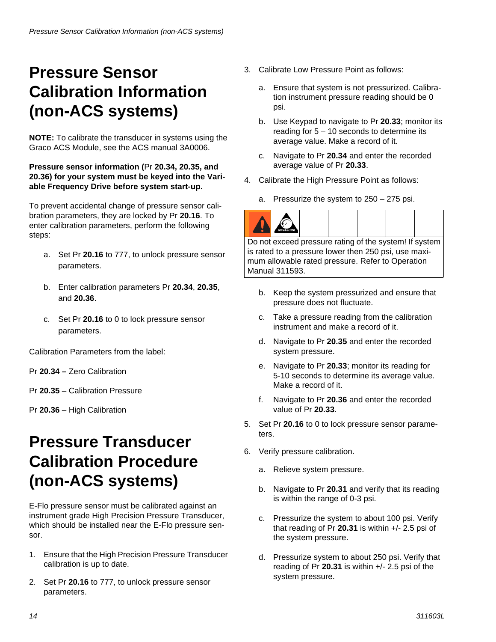# <span id="page-13-0"></span>**Pressure Sensor Calibration Information (non-ACS systems)**

**NOTE:** To calibrate the transducer in systems using the Graco ACS Module, see the ACS manual 3A0006.

### **Pressure sensor information (**Pr **20.34, 20.35, and 20.36) for your system must be keyed into the Variable Frequency Drive before system start-up.**

To prevent accidental change of pressure sensor calibration parameters, they are locked by Pr **20.16**. To enter calibration parameters, perform the following steps:

- a. Set Pr **20.16** to 777, to unlock pressure sensor parameters.
- b. Enter calibration parameters Pr **20.34**, **20.35**, and **20.36**.
- c. Set Pr **20.16** to 0 to lock pressure sensor parameters.

Calibration Parameters from the label:

Pr **20.34 –** Zero Calibration

Pr **20.35** – Calibration Pressure

Pr **20.36** – High Calibration

# <span id="page-13-1"></span>**Pressure Transducer Calibration Procedure (non-ACS systems)**

E-Flo pressure sensor must be calibrated against an instrument grade High Precision Pressure Transducer, which should be installed near the E-Flo pressure sensor.

- 1. Ensure that the High Precision Pressure Transducer calibration is up to date.
- 2. Set Pr **20.16** to 777, to unlock pressure sensor parameters.
- 3. Calibrate Low Pressure Point as follows:
	- a. Ensure that system is not pressurized. Calibration instrument pressure reading should be 0 psi.
	- b. Use Keypad to navigate to Pr **20.33**; monitor its reading for  $5 - 10$  seconds to determine its average value. Make a record of it.
	- c. Navigate to Pr **20.34** and enter the recorded average value of Pr **20.33**.
- 4. Calibrate the High Pressure Point as follows:
	- a. Pressurize the system to 250 275 psi.



Do not exceed pressure rating of the system! If system is rated to a pressure lower then 250 psi, use maximum allowable rated pressure. Refer to Operation Manual 311593.

- b. Keep the system pressurized and ensure that pressure does not fluctuate.
- c. Take a pressure reading from the calibration instrument and make a record of it.
- d. Navigate to Pr **20.35** and enter the recorded system pressure.
- e. Navigate to Pr **20.33**; monitor its reading for 5-10 seconds to determine its average value. Make a record of it.
- f. Navigate to Pr **20.36** and enter the recorded value of Pr **20.33**.
- 5. Set Pr **20.16** to 0 to lock pressure sensor parameters.
- 6. Verify pressure calibration.
	- a. Relieve system pressure.
	- b. Navigate to Pr **20.31** and verify that its reading is within the range of 0-3 psi.
	- c. Pressurize the system to about 100 psi. Verify that reading of Pr **20.31** is within +/- 2.5 psi of the system pressure.
	- d. Pressurize system to about 250 psi. Verify that reading of Pr **20.31** is within +/- 2.5 psi of the system pressure.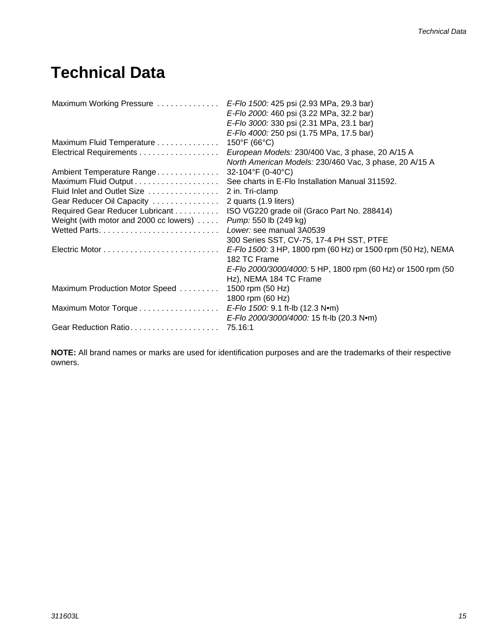# <span id="page-14-0"></span>**Technical Data**

| Maximum Working Pressure  E-Flo 1500: 425 psi (2.93 MPa, 29.3 bar) |                                                              |
|--------------------------------------------------------------------|--------------------------------------------------------------|
|                                                                    | E-Flo 2000: 460 psi (3.22 MPa, 32.2 bar)                     |
|                                                                    | E-Flo 3000: 330 psi (2.31 MPa, 23.1 bar)                     |
|                                                                    | E-Flo 4000: 250 psi (1.75 MPa, 17.5 bar)                     |
| Maximum Fluid Temperature                                          | $150^{\circ}$ F (66 $^{\circ}$ C)                            |
| Electrical Requirements                                            | European Models: 230/400 Vac, 3 phase, 20 A/15 A             |
|                                                                    | North American Models: 230/460 Vac, 3 phase, 20 A/15 A       |
| Ambient Temperature Range                                          | 32-104°F (0-40°C)                                            |
|                                                                    | See charts in E-Flo Installation Manual 311592.              |
| Fluid Inlet and Outlet Size                                        | 2 in. Tri-clamp                                              |
| Gear Reducer Oil Capacity                                          | 2 quarts (1.9 liters)                                        |
| Required Gear Reducer Lubricant                                    | ISO VG220 grade oil (Graco Part No. 288414)                  |
| Weight (with motor and 2000 cc lowers)                             | Pump: 550 lb (249 kg)                                        |
|                                                                    | Lower: see manual 3A0539                                     |
|                                                                    | 300 Series SST, CV-75, 17-4 PH SST, PTFE                     |
|                                                                    | E-Flo 1500: 3 HP, 1800 rpm (60 Hz) or 1500 rpm (50 Hz), NEMA |
|                                                                    | 182 TC Frame                                                 |
|                                                                    | E-Flo 2000/3000/4000: 5 HP, 1800 rpm (60 Hz) or 1500 rpm (50 |
|                                                                    | Hz), NEMA 184 TC Frame                                       |
| Maximum Production Motor Speed                                     | 1500 rpm (50 Hz)                                             |
|                                                                    | 1800 rpm (60 Hz)                                             |
| Maximum Motor Torque E-Flo 1500: 9.1 ft-lb (12.3 Nom)              |                                                              |
|                                                                    | E-Flo 2000/3000/4000: 15 ft-lb (20.3 Nom)                    |
| Gear Reduction Ratio                                               | 75.16:1                                                      |

**NOTE:** All brand names or marks are used for identification purposes and are the trademarks of their respective owners.